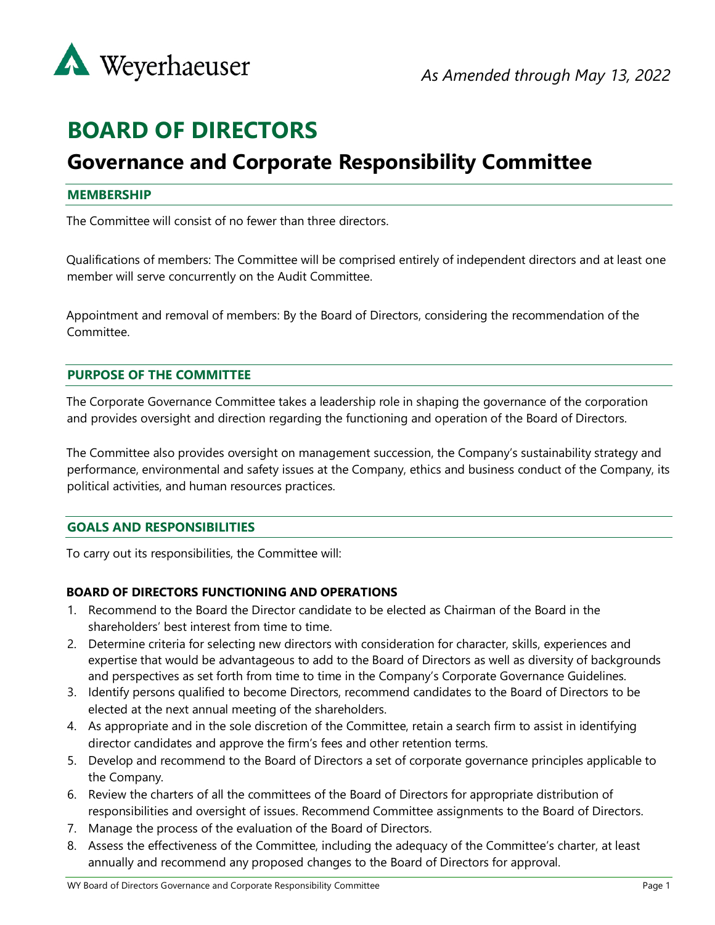

# **BOARD OF DIRECTORS**

# **Governance and Corporate Responsibility Committee**

#### **MEMBERSHIP**

The Committee will consist of no fewer than three directors.

Qualifications of members: The Committee will be comprised entirely of independent directors and at least one member will serve concurrently on the Audit Committee.

Appointment and removal of members: By the Board of Directors, considering the recommendation of the Committee.

# **PURPOSE OF THE COMMITTEE**

The Corporate Governance Committee takes a leadership role in shaping the governance of the corporation and provides oversight and direction regarding the functioning and operation of the Board of Directors.

The Committee also provides oversight on management succession, the Company's sustainability strategy and performance, environmental and safety issues at the Company, ethics and business conduct of the Company, its political activities, and human resources practices.

#### **GOALS AND RESPONSIBILITIES**

To carry out its responsibilities, the Committee will:

# **BOARD OF DIRECTORS FUNCTIONING AND OPERATIONS**

- 1. Recommend to the Board the Director candidate to be elected as Chairman of the Board in the shareholders' best interest from time to time.
- 2. Determine criteria for selecting new directors with consideration for character, skills, experiences and expertise that would be advantageous to add to the Board of Directors as well as diversity of backgrounds and perspectives as set forth from time to time in the Company's Corporate Governance Guidelines.
- 3. Identify persons qualified to become Directors, recommend candidates to the Board of Directors to be elected at the next annual meeting of the shareholders.
- 4. As appropriate and in the sole discretion of the Committee, retain a search firm to assist in identifying director candidates and approve the firm's fees and other retention terms.
- 5. Develop and recommend to the Board of Directors a set of corporate governance principles applicable to the Company.
- 6. Review the charters of all the committees of the Board of Directors for appropriate distribution of responsibilities and oversight of issues. Recommend Committee assignments to the Board of Directors.
- 7. Manage the process of the evaluation of the Board of Directors.
- 8. Assess the effectiveness of the Committee, including the adequacy of the Committee's charter, at least annually and recommend any proposed changes to the Board of Directors for approval.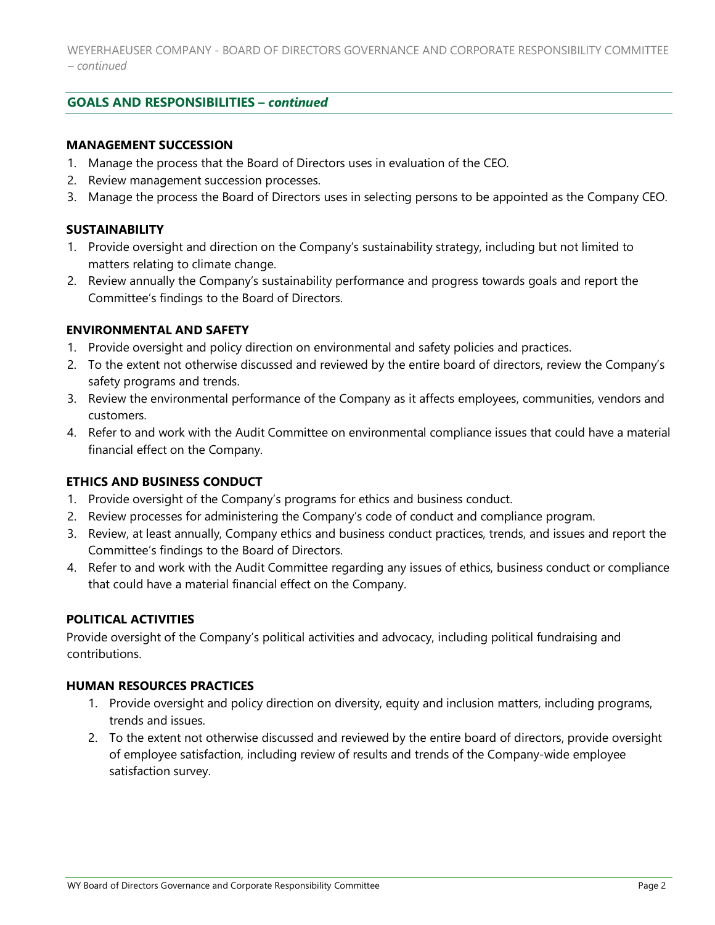# **GOALS AND RESPONSIBILITIES –** *continued*

#### **MANAGEMENT SUCCESSION**

- 1. Manage the process that the Board of Directors uses in evaluation of the CEO.
- 2. Review management succession processes.
- 3. Manage the process the Board of Directors uses in selecting persons to be appointed as the Company CEO.

#### **SUSTAINABILITY**

- 1. Provide oversight and direction on the Company's sustainability strategy, including but not limited to matters relating to climate change.
- 2. Review annually the Company's sustainability performance and progress towards goals and report the Committee's findings to the Board of Directors.

#### **ENVIRONMENTAL AND SAFETY**

- 1. Provide oversight and policy direction on environmental and safety policies and practices.
- 2. To the extent not otherwise discussed and reviewed by the entire board of directors, review the Company's safety programs and trends.
- 3. Review the environmental performance of the Company as it affects employees, communities, vendors and customers.
- 4. Refer to and work with the Audit Committee on environmental compliance issues that could have a material financial effect on the Company.

# **ETHICS AND BUSINESS CONDUCT**

- 1. Provide oversight of the Company's programs for ethics and business conduct.
- 2. Review processes for administering the Company's code of conduct and compliance program.
- 3. Review, at least annually, Company ethics and business conduct practices, trends, and issues and report the Committee's findings to the Board of Directors.
- 4. Refer to and work with the Audit Committee regarding any issues of ethics, business conduct or compliance that could have a material financial effect on the Company.

# **POLITICAL ACTIVITIES**

Provide oversight of the Company's political activities and advocacy, including political fundraising and contributions.

#### **HUMAN RESOURCES PRACTICES**

- 1. Provide oversight and policy direction on diversity, equity and inclusion matters, including programs, trends and issues.
- 2. To the extent not otherwise discussed and reviewed by the entire board of directors, provide oversight of employee satisfaction, including review of results and trends of the Company-wide employee satisfaction survey.